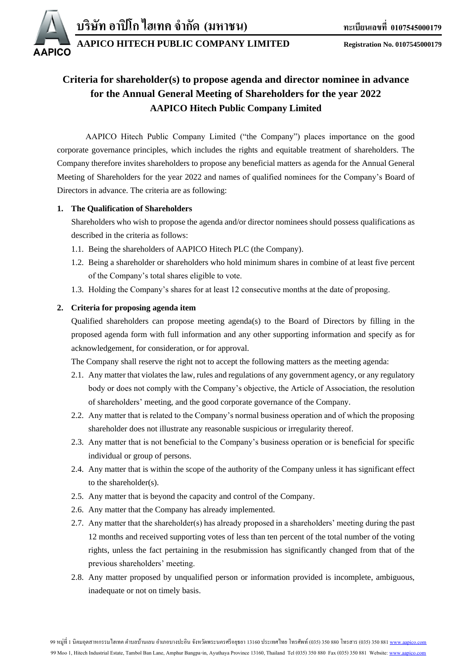

**AAPICO HITECH PUBLIC COMPANY LIMITED Registration No. 0107545000179**

# **Criteria for shareholder(s) to propose agenda and director nominee in advance for the Annual General Meeting of Shareholders for the year 2022 AAPICO Hitech Public Company Limited**

AAPICO Hitech Public Company Limited ("the Company") places importance on the good corporate governance principles, which includes the rights and equitable treatment of shareholders. The Company therefore invites shareholders to propose any beneficial matters as agenda for the Annual General Meeting of Shareholders for the year 2022 and names of qualified nominees for the Company's Board of Directors in advance. The criteria are as following:

## **1. The Qualification of Shareholders**

Shareholders who wish to propose the agenda and/or director nominees should possess qualifications as described in the criteria as follows:

- 1.1. Being the shareholders of AAPICO Hitech PLC (the Company).
- 1.2. Being a shareholder or shareholders who hold minimum shares in combine of at least five percent of the Company's total shares eligible to vote.
- 1.3. Holding the Company's shares for at least 12 consecutive months at the date of proposing.

## **2. Criteria for proposing agenda item**

Qualified shareholders can propose meeting agenda(s) to the Board of Directors by filling in the proposed agenda form with full information and any other supporting information and specify as for acknowledgement, for consideration, or for approval.

The Company shall reserve the right not to accept the following matters as the meeting agenda:

- 2.1. Any matter that violates the law, rules and regulations of any government agency, or any regulatory body or does not comply with the Company's objective, the Article of Association, the resolution of shareholders' meeting, and the good corporate governance of the Company.
- 2.2. Any matter that is related to the Company's normal business operation and of which the proposing shareholder does not illustrate any reasonable suspicious or irregularity thereof.
- 2.3. Any matter that is not beneficial to the Company's business operation or is beneficial for specific individual or group of persons.
- 2.4. Any matter that is within the scope of the authority of the Company unless it has significant effect to the shareholder(s).
- 2.5. Any matter that is beyond the capacity and control of the Company.
- 2.6. Any matter that the Company has already implemented.
- 2.7. Any matter that the shareholder(s) has already proposed in a shareholders' meeting during the past 12 months and received supporting votes of less than ten percent of the total number of the voting rights, unless the fact pertaining in the resubmission has significantly changed from that of the previous shareholders' meeting.
- 2.8. Any matter proposed by unqualified person or information provided is incomplete, ambiguous, inadequate or not on timely basis.